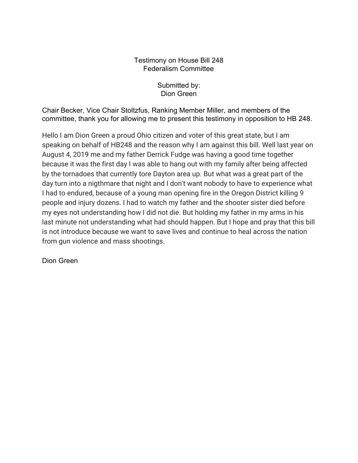## Testimony on House Bill 248 Federalism Committee

Submitted by: Dion Green

Chair Becker, Vice Chair Stoltzfus, Ranking Member Miller, and members of the committee, thank you for allowing me to present this testimony in opposition to HB 248.

Hello I am Dion Green a proud Ohio citizen and voter of this great state, but I am speaking on behalf of HB248 and the reason why I am against this bill. Well last year on August 4, 2019 me and my father Derrick Fudge was having a good time together because it was the first day I was able to hang out with my family after being affected by the tornadoes that currently tore Dayton area up. But what was a great part of the day turn into a nigthmare that night and I don't want nobody to have to experience what I had to endured, because of a young man opening fire in the Oregon District killing 9 people and injury dozens. I had to watch my father and the shooter sister died before my eyes not understanding how I did not die. But holding my father in my arms in his last minute not understanding what had should happen. But I hope and pray that this bill is not introduce because we want to save lives and continue to heal across the nation from gun violence and mass shootings.

Dion Green